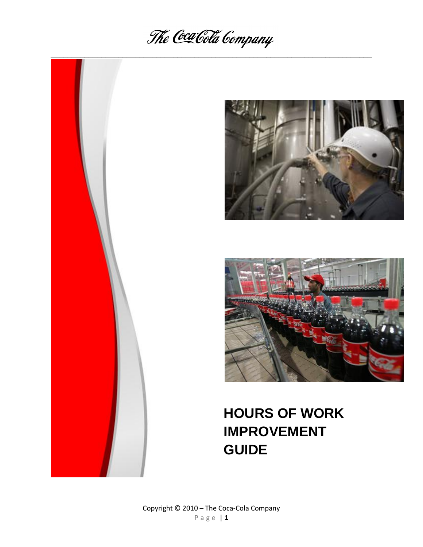







# **HOURS OF WORK IMPROVEMENT GUIDE**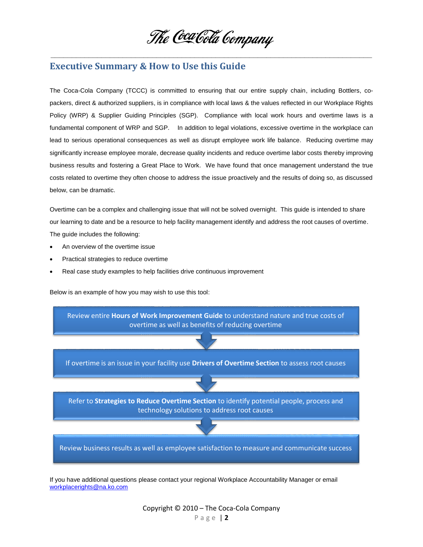

# **Executive Summary & How to Use this Guide**

The Coca-Cola Company (TCCC) is committed to ensuring that our entire supply chain, including Bottlers, copackers, direct & authorized suppliers, is in compliance with local laws & the values reflected in our Workplace Rights Policy (WRP) & Supplier Guiding Principles (SGP). Compliance with local work hours and overtime laws is a fundamental component of WRP and SGP. In addition to legal violations, excessive overtime in the workplace can lead to serious operational consequences as well as disrupt employee work life balance. Reducing overtime may significantly increase employee morale, decrease quality incidents and reduce overtime labor costs thereby improving business results and fostering a Great Place to Work. We have found that once management understand the true costs related to overtime they often choose to address the issue proactively and the results of doing so, as discussed below, can be dramatic.

Overtime can be a complex and challenging issue that will not be solved overnight. This guide is intended to share our learning to date and be a resource to help facility management identify and address the root causes of overtime. The guide includes the following:

- An overview of the overtime issue
- Practical strategies to reduce overtime
- Real case study examples to help facilities drive continuous improvement

Below is an example of how you may wish to use this tool:



If you have additional questions please contact your regional Workplace Accountability Manager or email [workplacerights@na.ko.com](mailto:workplacerights@na.ko.com)

> Copyright © 2010 – The Coca-Cola Company P a g e | **2**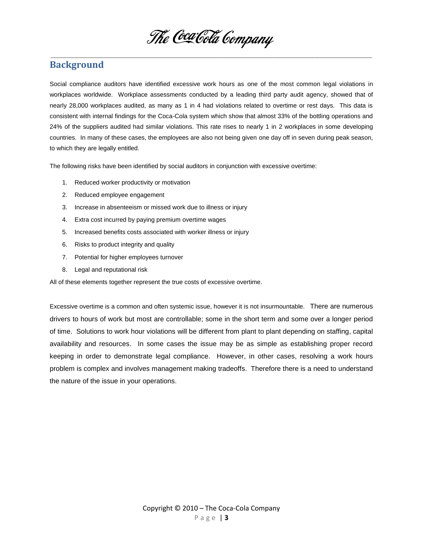

# **Background**

Social compliance auditors have identified excessive work hours as one of the most common legal violations in workplaces worldwide. Workplace assessments conducted by a leading third party audit agency, showed that of nearly 28,000 workplaces audited, as many as 1 in 4 had violations related to overtime or rest days. This data is consistent with internal findings for the Coca-Cola system which show that almost 33% of the bottling operations and 24% of the suppliers audited had similar violations. This rate rises to nearly 1 in 2 workplaces in some developing countries. In many of these cases, the employees are also not being given one day off in seven during peak season, to which they are legally entitled.

The following risks have been identified by social auditors in conjunction with excessive overtime:

- 1. Reduced worker productivity or motivation
- 2. Reduced employee engagement
- 3. Increase in absenteeism or missed work due to illness or injury
- 4. Extra cost incurred by paying premium overtime wages
- 5. Increased benefits costs associated with worker illness or injury
- 6. Risks to product integrity and quality
- 7. Potential for higher employees turnover
- 8. Legal and reputational risk

All of these elements together represent the true costs of excessive overtime.

Excessive overtime is a common and often systemic issue, however it is not insurmountable. There are numerous drivers to hours of work but most are controllable; some in the short term and some over a longer period of time. Solutions to work hour violations will be different from plant to plant depending on staffing, capital availability and resources. In some cases the issue may be as simple as establishing proper record keeping in order to demonstrate legal compliance. However, in other cases, resolving a work hours problem is complex and involves management making tradeoffs. Therefore there is a need to understand the nature of the issue in your operations.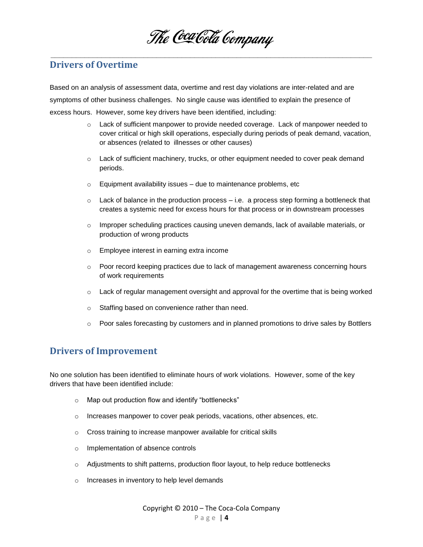**\_\_\_\_\_\_\_\_\_\_\_\_\_\_\_\_\_\_\_\_\_\_\_\_\_\_\_\_\_\_\_\_\_\_\_\_\_\_\_\_\_\_\_\_\_\_\_\_\_\_\_\_\_\_\_\_\_\_\_\_\_\_\_\_\_\_\_\_\_\_\_\_\_\_\_\_**

## **Drivers of Overtime**

Based on an analysis of assessment data, overtime and rest day violations are inter-related and are symptoms of other business challenges. No single cause was identified to explain the presence of excess hours. However, some key drivers have been identified, including:

- o Lack of sufficient manpower to provide needed coverage. Lack of manpower needed to cover critical or high skill operations, especially during periods of peak demand, vacation, or absences (related to illnesses or other causes)
- o Lack of sufficient machinery, trucks, or other equipment needed to cover peak demand periods.
- $\circ$  Equipment availability issues due to maintenance problems, etc
- $\circ$  Lack of balance in the production process i.e. a process step forming a bottleneck that creates a systemic need for excess hours for that process or in downstream processes
- $\circ$  Improper scheduling practices causing uneven demands, lack of available materials, or production of wrong products
- o Employee interest in earning extra income
- $\circ$  Poor record keeping practices due to lack of management awareness concerning hours of work requirements
- $\circ$  Lack of regular management oversight and approval for the overtime that is being worked
- o Staffing based on convenience rather than need.
- $\circ$  Poor sales forecasting by customers and in planned promotions to drive sales by Bottlers

# **Drivers of Improvement**

No one solution has been identified to eliminate hours of work violations. However, some of the key drivers that have been identified include:

- o Map out production flow and identify "bottlenecks"
- o Increases manpower to cover peak periods, vacations, other absences, etc.
- o Cross training to increase manpower available for critical skills
- o Implementation of absence controls
- $\circ$  Adjustments to shift patterns, production floor layout, to help reduce bottlenecks
- o Increases in inventory to help level demands

Copyright © 2010 – The Coca-Cola Company P a g e | **4**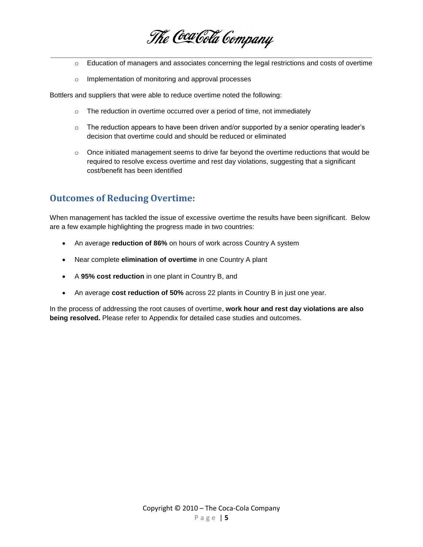**\_\_\_\_\_\_\_\_\_\_\_\_\_\_\_\_\_\_\_\_\_\_\_\_\_\_\_\_\_\_\_\_\_\_\_\_\_\_\_\_\_\_\_\_\_\_\_\_\_\_\_\_\_\_\_\_\_\_\_\_\_\_\_\_\_\_\_\_\_\_\_\_\_\_\_\_**

- $\circ$  Education of managers and associates concerning the legal restrictions and costs of overtime
- o Implementation of monitoring and approval processes

Bottlers and suppliers that were able to reduce overtime noted the following:

- o The reduction in overtime occurred over a period of time, not immediately
- $\circ$  The reduction appears to have been driven and/or supported by a senior operating leader's decision that overtime could and should be reduced or eliminated
- $\circ$  Once initiated management seems to drive far beyond the overtime reductions that would be required to resolve excess overtime and rest day violations, suggesting that a significant cost/benefit has been identified

# **Outcomes of Reducing Overtime:**

When management has tackled the issue of excessive overtime the results have been significant. Below are a few example highlighting the progress made in two countries:

- An average **reduction of 86%** on hours of work across Country A system
- Near complete **elimination of overtime** in one Country A plant
- A **95% cost reduction** in one plant in Country B, and
- An average **cost reduction of 50%** across 22 plants in Country B in just one year.

In the process of addressing the root causes of overtime, **work hour and rest day violations are also being resolved.** Please refer to Appendix for detailed case studies and outcomes.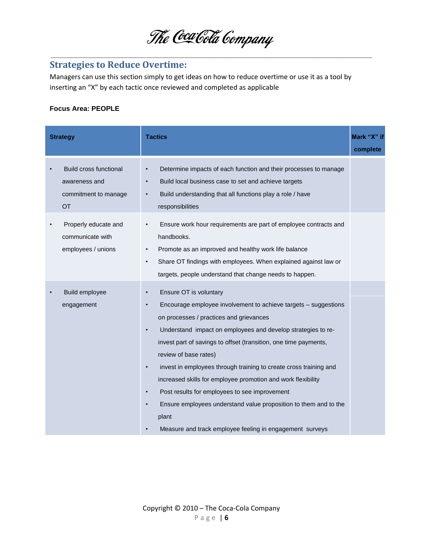

# **Strategies to Reduce Overtime:**

Managers can use this section simply to get ideas on how to reduce overtime or use it as a tool by inserting an "X" by each tactic once reviewed and completed as applicable

#### **Focus Area: PEOPLE**

| <b>Strategy</b> |                                                                                     | <b>Tactics</b>                                                                                                                                                                                                                                                                                                                                                                                                                                                                                                                                                                                                                                                                                                 | Mark "X" if<br>complete |
|-----------------|-------------------------------------------------------------------------------------|----------------------------------------------------------------------------------------------------------------------------------------------------------------------------------------------------------------------------------------------------------------------------------------------------------------------------------------------------------------------------------------------------------------------------------------------------------------------------------------------------------------------------------------------------------------------------------------------------------------------------------------------------------------------------------------------------------------|-------------------------|
|                 | <b>Build cross functional</b><br>awareness and<br>commitment to manage<br><b>OT</b> | Determine impacts of each function and their processes to manage<br>$\bullet$<br>Build local business case to set and achieve targets<br>Build understanding that all functions play a role / have<br>$\bullet$<br>responsibilities                                                                                                                                                                                                                                                                                                                                                                                                                                                                            |                         |
|                 | Properly educate and<br>communicate with<br>employees / unions                      | Ensure work hour requirements are part of employee contracts and<br>$\bullet$<br>handbooks.<br>Promote as an improved and healthy work life balance<br>$\bullet$<br>Share OT findings with employees. When explained against law or<br>$\bullet$<br>targets, people understand that change needs to happen.                                                                                                                                                                                                                                                                                                                                                                                                    |                         |
|                 | Build employee<br>engagement                                                        | Ensure OT is voluntary<br>$\bullet$<br>Encourage employee involvement to achieve targets - suggestions<br>$\bullet$<br>on processes / practices and grievances<br>Understand impact on employees and develop strategies to re-<br>$\bullet$<br>invest part of savings to offset (transition, one time payments,<br>review of base rates)<br>invest in employees through training to create cross training and<br>$\bullet$<br>increased skills for employee promotion and work flexibility<br>Post results for employees to see improvement<br>$\bullet$<br>Ensure employees understand value proposition to them and to the<br>$\bullet$<br>plant<br>Measure and track employee feeling in engagement surveys |                         |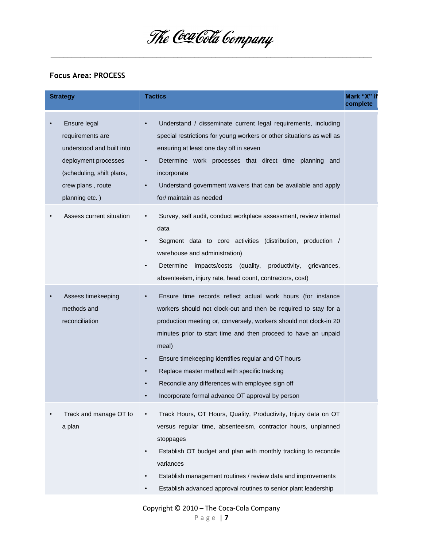**\_\_\_\_\_\_\_\_\_\_\_\_\_\_\_\_\_\_\_\_\_\_\_\_\_\_\_\_\_\_\_\_\_\_\_\_\_\_\_\_\_\_\_\_\_\_\_\_\_\_\_\_\_\_\_\_\_\_\_\_\_\_\_\_\_\_\_\_\_\_\_\_\_\_\_\_**

### **Focus Area: PROCESS**

| <b>Strategy</b> |                                                                                                                                                           | <b>Tactics</b>                                                                                                                                                                                                                                                                                                                                                                                                                                                                                                                      | Mark "X" if<br>complete |
|-----------------|-----------------------------------------------------------------------------------------------------------------------------------------------------------|-------------------------------------------------------------------------------------------------------------------------------------------------------------------------------------------------------------------------------------------------------------------------------------------------------------------------------------------------------------------------------------------------------------------------------------------------------------------------------------------------------------------------------------|-------------------------|
|                 | Ensure legal<br>requirements are<br>understood and built into<br>deployment processes<br>(scheduling, shift plans,<br>crew plans, route<br>planning etc.) | Understand / disseminate current legal requirements, including<br>$\bullet$<br>special restrictions for young workers or other situations as well as<br>ensuring at least one day off in seven<br>Determine work processes that direct time planning<br>$\bullet$<br>and<br>incorporate<br>Understand government waivers that can be available and apply<br>$\bullet$<br>for/ maintain as needed                                                                                                                                    |                         |
|                 | Assess current situation                                                                                                                                  | Survey, self audit, conduct workplace assessment, review internal<br>data<br>Segment data to core activities (distribution, production /<br>٠<br>warehouse and administration)<br>Determine<br>impacts/costs (quality,<br>productivity,<br>grievances,<br>$\bullet$<br>absenteeism, injury rate, head count, contractors, cost)                                                                                                                                                                                                     |                         |
|                 | Assess timekeeping<br>methods and<br>reconciliation                                                                                                       | Ensure time records reflect actual work hours (for instance<br>$\bullet$<br>workers should not clock-out and then be required to stay for a<br>production meeting or, conversely, workers should not clock-in 20<br>minutes prior to start time and then proceed to have an unpaid<br>meal)<br>Ensure timekeeping identifies regular and OT hours<br>$\bullet$<br>Replace master method with specific tracking<br>$\bullet$<br>Reconcile any differences with employee sign off<br>Incorporate formal advance OT approval by person |                         |
|                 | Track and manage OT to<br>a plan                                                                                                                          | Track Hours, OT Hours, Quality, Productivity, Injury data on OT<br>versus regular time, absenteeism, contractor hours, unplanned<br>stoppages<br>Establish OT budget and plan with monthly tracking to reconcile<br>$\bullet$<br>variances<br>Establish management routines / review data and improvements<br>Establish advanced approval routines to senior plant leadership<br>٠                                                                                                                                                  |                         |

Copyright © 2010 – The Coca-Cola Company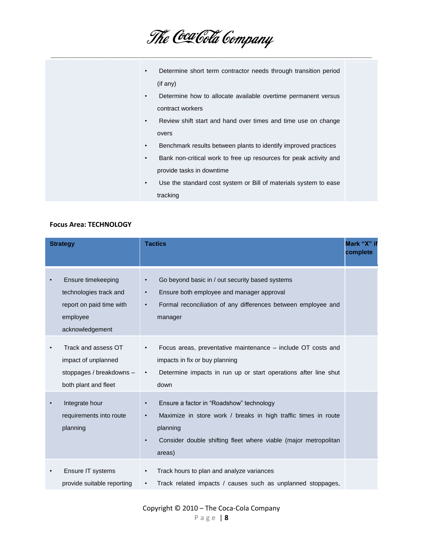| The Coca Cola Company |  |
|-----------------------|--|
|-----------------------|--|

| Determine short term contractor needs through transition period<br>$\bullet$   |  |
|--------------------------------------------------------------------------------|--|
| (if any)                                                                       |  |
| Determine how to allocate available overtime permanent versus<br>$\bullet$     |  |
| contract workers                                                               |  |
| Review shift start and hand over times and time use on change<br>$\bullet$     |  |
| overs                                                                          |  |
| Benchmark results between plants to identify improved practices<br>$\bullet$   |  |
| Bank non-critical work to free up resources for peak activity and<br>$\bullet$ |  |
| provide tasks in downtime                                                      |  |
| Use the standard cost system or Bill of materials system to ease<br>$\bullet$  |  |
| tracking                                                                       |  |
|                                                                                |  |

#### **Focus Area: TECHNOLOGY**

| <b>Strategy</b> |                                                                                                         | <b>Tactics</b>                                                                                                                                                                                                                             | Mark "X" if<br>complete |
|-----------------|---------------------------------------------------------------------------------------------------------|--------------------------------------------------------------------------------------------------------------------------------------------------------------------------------------------------------------------------------------------|-------------------------|
|                 | Ensure timekeeping<br>technologies track and<br>report on paid time with<br>employee<br>acknowledgement | Go beyond basic in / out security based systems<br>$\bullet$<br>Ensure both employee and manager approval<br>$\bullet$<br>Formal reconciliation of any differences between employee and<br>$\bullet$<br>manager                            |                         |
|                 | Track and assess OT<br>impact of unplanned<br>stoppages / breakdowns -<br>both plant and fleet          | Focus areas, preventative maintenance – include OT costs and<br>$\bullet$<br>impacts in fix or buy planning<br>Determine impacts in run up or start operations after line shut<br>$\bullet$<br>down                                        |                         |
|                 | Integrate hour<br>requirements into route<br>planning                                                   | Ensure a factor in "Roadshow" technology<br>$\bullet$<br>Maximize in store work / breaks in high traffic times in route<br>$\bullet$<br>planning<br>Consider double shifting fleet where viable (major metropolitan<br>$\bullet$<br>areas) |                         |
|                 | Ensure IT systems<br>provide suitable reporting                                                         | Track hours to plan and analyze variances<br>$\bullet$<br>Track related impacts / causes such as unplanned stoppages,<br>$\bullet$                                                                                                         |                         |

Copyright © 2010 – The Coca-Cola Company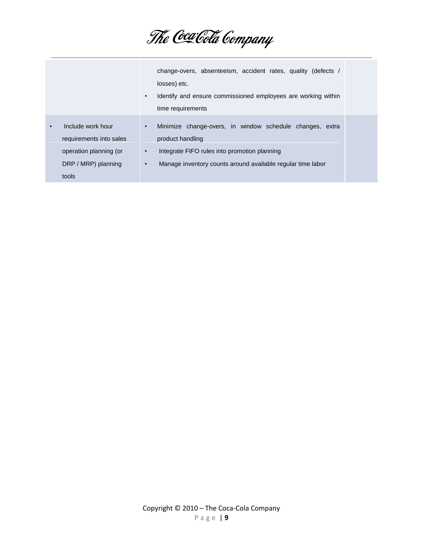|                                                                                                        | change-overs, absenteeism, accident rates, quality (defects /<br>losses) etc.<br>Identify and ensure commissioned employees are working within<br>$\bullet$<br>time requirements                                                   |
|--------------------------------------------------------------------------------------------------------|------------------------------------------------------------------------------------------------------------------------------------------------------------------------------------------------------------------------------------|
| Include work hour<br>requirements into sales<br>operation planning (or<br>DRP / MRP) planning<br>tools | Minimize change-overs, in window schedule changes, extra<br>$\bullet$<br>product handling<br>Integrate FIFO rules into promotion planning<br>$\bullet$<br>Manage inventory counts around available regular time labor<br>$\bullet$ |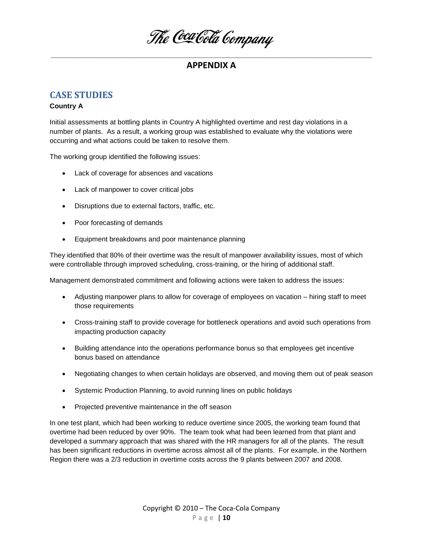The Coca Cola Company

## **CASE STUDIES**

#### **Country A**

Initial assessments at bottling plants in Country A highlighted overtime and rest day violations in a number of plants. As a result, a working group was established to evaluate why the violations were occurring and what actions could be taken to resolve them.

The working group identified the following issues:

- Lack of coverage for absences and vacations
- Lack of manpower to cover critical jobs
- Disruptions due to external factors, traffic, etc.
- Poor forecasting of demands
- Equipment breakdowns and poor maintenance planning

They identified that 80% of their overtime was the result of manpower availability issues, most of which were controllable through improved scheduling, cross-training, or the hiring of additional staff.

Management demonstrated commitment and following actions were taken to address the issues:

- Adjusting manpower plans to allow for coverage of employees on vacation hiring staff to meet those requirements
- Cross-training staff to provide coverage for bottleneck operations and avoid such operations from impacting production capacity
- Building attendance into the operations performance bonus so that employees get incentive bonus based on attendance
- Negotiating changes to when certain holidays are observed, and moving them out of peak season
- Systemic Production Planning, to avoid running lines on public holidays
- Projected preventive maintenance in the off season

In one test plant, which had been working to reduce overtime since 2005, the working team found that overtime had been reduced by over 90%. The team took what had been learned from that plant and developed a summary approach that was shared with the HR managers for all of the plants. The result has been significant reductions in overtime across almost all of the plants. For example, in the Northern Region there was a 2/3 reduction in overtime costs across the 9 plants between 2007 and 2008.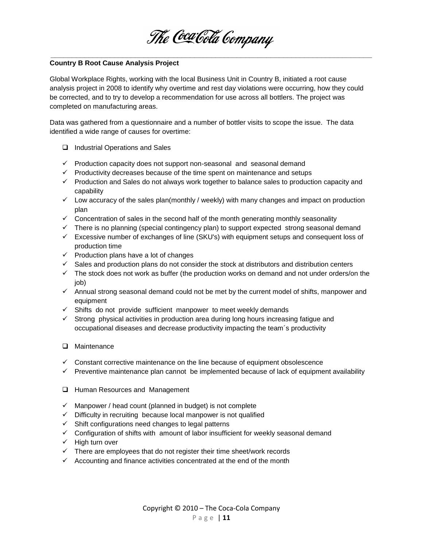

#### **\_\_\_\_\_\_\_\_\_\_\_\_\_\_\_\_\_\_\_\_\_\_\_\_\_\_\_\_\_\_\_\_\_\_\_\_\_\_\_\_\_\_\_\_\_\_\_\_\_\_\_\_\_\_\_\_\_\_\_\_\_\_\_\_\_\_\_\_\_\_\_\_\_\_\_\_ Country B Root Cause Analysis Project**

Global Workplace Rights, working with the local Business Unit in Country B, initiated a root cause analysis project in 2008 to identify why overtime and rest day violations were occurring, how they could be corrected, and to try to develop a recommendation for use across all bottlers. The project was completed on manufacturing areas.

Data was gathered from a questionnaire and a number of bottler visits to scope the issue. The data identified a wide range of causes for overtime:

- □ Industrial Operations and Sales
- $\checkmark$  Production capacity does not support non-seasonal and seasonal demand
- $\checkmark$  Productivity decreases because of the time spent on maintenance and setups
- $\checkmark$  Production and Sales do not always work together to balance sales to production capacity and capability
- $\checkmark$  Low accuracy of the sales plan(monthly / weekly) with many changes and impact on production plan
- $\checkmark$  Concentration of sales in the second half of the month generating monthly seasonality
- $\checkmark$  There is no planning (special contingency plan) to support expected strong seasonal demand
- $\checkmark$  Excessive number of exchanges of line (SKU's) with equipment setups and consequent loss of production time
- $\checkmark$  Production plans have a lot of changes
- $\checkmark$  Sales and production plans do not consider the stock at distributors and distribution centers
- $\checkmark$  The stock does not work as buffer (the production works on demand and not under orders/on the job)
- $\checkmark$  Annual strong seasonal demand could not be met by the current model of shifts, manpower and equipment
- $\checkmark$  Shifts do not provide sufficient manpower to meet weekly demands
- $\checkmark$  Strong physical activities in production area during long hours increasing fatigue and occupational diseases and decrease productivity impacting the team´s productivity
- **Q** Maintenance
- $\checkmark$  Constant corrective maintenance on the line because of equipment obsolescence
- $\checkmark$  Preventive maintenance plan cannot be implemented because of lack of equipment availability
- **Human Resources and Management**
- $\checkmark$  Manpower / head count (planned in budget) is not complete
- $\checkmark$  Difficulty in recruiting because local manpower is not qualified
- $\checkmark$  Shift configurations need changes to legal patterns
- $\checkmark$  Configuration of shifts with amount of labor insufficient for weekly seasonal demand
- $\checkmark$  High turn over
- $\checkmark$  There are employees that do not register their time sheet/work records
- $\checkmark$  Accounting and finance activities concentrated at the end of the month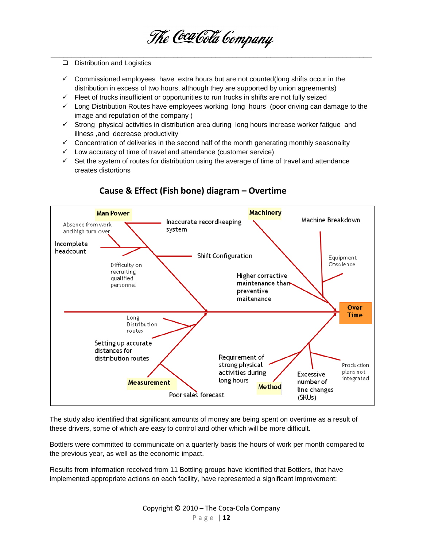

- D Distribution and Logistics
- $\checkmark$  Commissioned employees have extra hours but are not counted(long shifts occur in the distribution in excess of two hours, although they are supported by union agreements)
- $\checkmark$  Fleet of trucks insufficient or opportunities to run trucks in shifts are not fully seized
- $\checkmark$  Long Distribution Routes have employees working long hours (poor driving can damage to the image and reputation of the company )
- $\checkmark$  Strong physical activities in distribution area during long hours increase worker fatigue and illness ,and decrease productivity
- $\checkmark$  Concentration of deliveries in the second half of the month generating monthly seasonality
- $\checkmark$  Low accuracy of time of travel and attendance (customer service)
- $\checkmark$  Set the system of routes for distribution using the average of time of travel and attendance creates distortions



# **Cause & Effect (Fish bone) diagram – Overtime**

The study also identified that significant amounts of money are being spent on overtime as a result of these drivers, some of which are easy to control and other which will be more difficult.

Bottlers were committed to communicate on a quarterly basis the hours of work per month compared to the previous year, as well as the economic impact.

Results from information received from 11 Bottling groups have identified that Bottlers, that have implemented appropriate actions on each facility, have represented a significant improvement: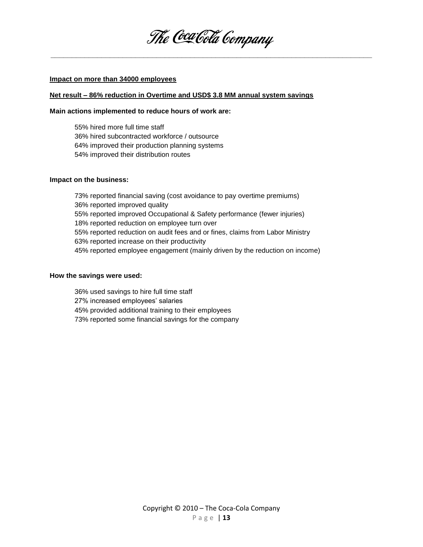

#### **Impact on more than 34000 employees**

#### **Net result – 86% reduction in Overtime and USD\$ 3.8 MM annual system savings**

#### **Main actions implemented to reduce hours of work are:**

55% hired more full time staff 36% hired subcontracted workforce / outsource 64% improved their production planning systems 54% improved their distribution routes

#### **Impact on the business:**

73% reported financial saving (cost avoidance to pay overtime premiums) 36% reported improved quality 55% reported improved Occupational & Safety performance (fewer injuries) 18% reported reduction on employee turn over 55% reported reduction on audit fees and or fines, claims from Labor Ministry 63% reported increase on their productivity 45% reported employee engagement (mainly driven by the reduction on income)

#### **How the savings were used:**

- 36% used savings to hire full time staff
- 27% increased employees' salaries
- 45% provided additional training to their employees
- 73% reported some financial savings for the company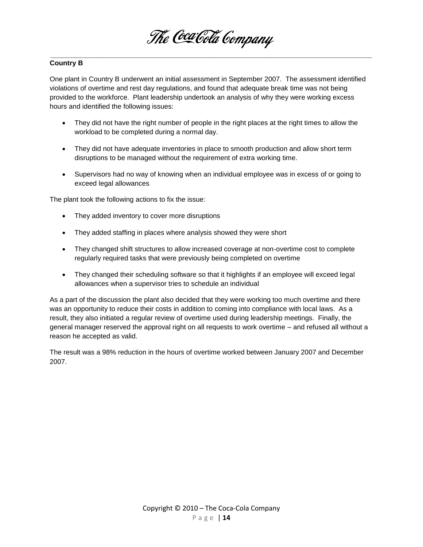

One plant in Country B underwent an initial assessment in September 2007. The assessment identified violations of overtime and rest day regulations, and found that adequate break time was not being provided to the workforce. Plant leadership undertook an analysis of why they were working excess hours and identified the following issues:

- They did not have the right number of people in the right places at the right times to allow the workload to be completed during a normal day.
- They did not have adequate inventories in place to smooth production and allow short term disruptions to be managed without the requirement of extra working time.
- Supervisors had no way of knowing when an individual employee was in excess of or going to exceed legal allowances

The plant took the following actions to fix the issue:

- They added inventory to cover more disruptions
- They added staffing in places where analysis showed they were short
- They changed shift structures to allow increased coverage at non-overtime cost to complete regularly required tasks that were previously being completed on overtime
- They changed their scheduling software so that it highlights if an employee will exceed legal allowances when a supervisor tries to schedule an individual

As a part of the discussion the plant also decided that they were working too much overtime and there was an opportunity to reduce their costs in addition to coming into compliance with local laws. As a result, they also initiated a regular review of overtime used during leadership meetings. Finally, the general manager reserved the approval right on all requests to work overtime – and refused all without a reason he accepted as valid.

The result was a 98% reduction in the hours of overtime worked between January 2007 and December 2007.